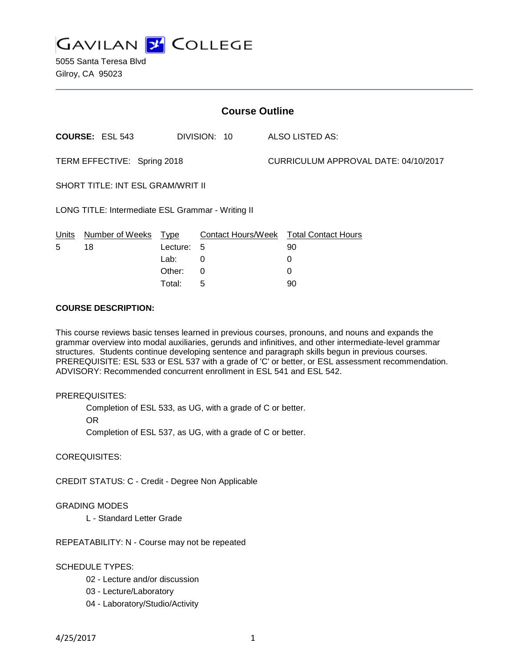

5055 Santa Teresa Blvd Gilroy, CA 95023

| <b>Course Outline</b>                             |                        |          |              |                                      |                                        |
|---------------------------------------------------|------------------------|----------|--------------|--------------------------------------|----------------------------------------|
|                                                   | <b>COURSE: ESL 543</b> |          | DIVISION: 10 |                                      | <b>ALSO LISTED AS:</b>                 |
| TERM EFFECTIVE: Spring 2018                       |                        |          |              | CURRICULUM APPROVAL DATE: 04/10/2017 |                                        |
| <b>SHORT TITLE: INT ESL GRAM/WRIT II</b>          |                        |          |              |                                      |                                        |
| LONG TITLE: Intermediate ESL Grammar - Writing II |                        |          |              |                                      |                                        |
| <b>Units</b>                                      | Number of Weeks Type   |          |              |                                      | Contact Hours/Week Total Contact Hours |
| 5                                                 | 18                     | Lecture: | 5            |                                      | 90                                     |
|                                                   |                        | Lab:     | 0            |                                      | 0                                      |
|                                                   |                        | Other:   | 0            |                                      | 0                                      |
|                                                   |                        | Total:   | 5            |                                      | 90                                     |

## **COURSE DESCRIPTION:**

This course reviews basic tenses learned in previous courses, pronouns, and nouns and expands the grammar overview into modal auxiliaries, gerunds and infinitives, and other intermediate-level grammar structures. Students continue developing sentence and paragraph skills begun in previous courses. PREREQUISITE: ESL 533 or ESL 537 with a grade of 'C' or better, or ESL assessment recommendation. ADVISORY: Recommended concurrent enrollment in ESL 541 and ESL 542.

### PREREQUISITES:

Completion of ESL 533, as UG, with a grade of C or better. OR

Completion of ESL 537, as UG, with a grade of C or better.

COREQUISITES:

CREDIT STATUS: C - Credit - Degree Non Applicable

# GRADING MODES

L - Standard Letter Grade

REPEATABILITY: N - Course may not be repeated

# SCHEDULE TYPES:

- 02 Lecture and/or discussion
- 03 Lecture/Laboratory
- 04 Laboratory/Studio/Activity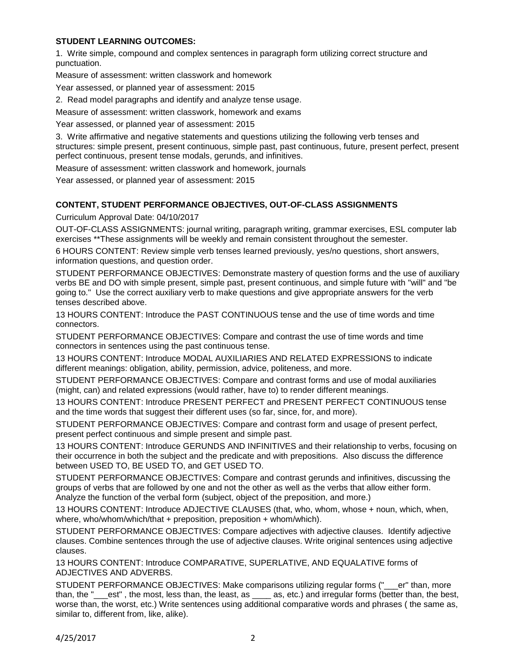# **STUDENT LEARNING OUTCOMES:**

1. Write simple, compound and complex sentences in paragraph form utilizing correct structure and punctuation.

Measure of assessment: written classwork and homework

Year assessed, or planned year of assessment: 2015

2. Read model paragraphs and identify and analyze tense usage.

Measure of assessment: written classwork, homework and exams

Year assessed, or planned year of assessment: 2015

3. Write affirmative and negative statements and questions utilizing the following verb tenses and structures: simple present, present continuous, simple past, past continuous, future, present perfect, present perfect continuous, present tense modals, gerunds, and infinitives.

Measure of assessment: written classwork and homework, journals

Year assessed, or planned year of assessment: 2015

# **CONTENT, STUDENT PERFORMANCE OBJECTIVES, OUT-OF-CLASS ASSIGNMENTS**

Curriculum Approval Date: 04/10/2017

OUT-OF-CLASS ASSIGNMENTS: journal writing, paragraph writing, grammar exercises, ESL computer lab exercises \*\*These assignments will be weekly and remain consistent throughout the semester.

6 HOURS CONTENT: Review simple verb tenses learned previously, yes/no questions, short answers, information questions, and question order.

STUDENT PERFORMANCE OBJECTIVES: Demonstrate mastery of question forms and the use of auxiliary verbs BE and DO with simple present, simple past, present continuous, and simple future with "will" and "be going to." Use the correct auxiliary verb to make questions and give appropriate answers for the verb tenses described above.

13 HOURS CONTENT: Introduce the PAST CONTINUOUS tense and the use of time words and time connectors.

STUDENT PERFORMANCE OBJECTIVES: Compare and contrast the use of time words and time connectors in sentences using the past continuous tense.

13 HOURS CONTENT: Introduce MODAL AUXILIARIES AND RELATED EXPRESSIONS to indicate different meanings: obligation, ability, permission, advice, politeness, and more.

STUDENT PERFORMANCE OBJECTIVES: Compare and contrast forms and use of modal auxiliaries (might, can) and related expressions (would rather, have to) to render different meanings.

13 HOURS CONTENT: Introduce PRESENT PERFECT and PRESENT PERFECT CONTINUOUS tense and the time words that suggest their different uses (so far, since, for, and more).

STUDENT PERFORMANCE OBJECTIVES: Compare and contrast form and usage of present perfect, present perfect continuous and simple present and simple past.

13 HOURS CONTENT: Introduce GERUNDS AND INFINITIVES and their relationship to verbs, focusing on their occurrence in both the subject and the predicate and with prepositions. Also discuss the difference between USED TO, BE USED TO, and GET USED TO.

STUDENT PERFORMANCE OBJECTIVES: Compare and contrast gerunds and infinitives, discussing the groups of verbs that are followed by one and not the other as well as the verbs that allow either form. Analyze the function of the verbal form (subject, object of the preposition, and more.)

13 HOURS CONTENT: Introduce ADJECTIVE CLAUSES (that, who, whom, whose + noun, which, when, where, who/whom/which/that + preposition, preposition + whom/which).

STUDENT PERFORMANCE OBJECTIVES: Compare adjectives with adjective clauses. Identify adjective clauses. Combine sentences through the use of adjective clauses. Write original sentences using adjective clauses.

13 HOURS CONTENT: Introduce COMPARATIVE, SUPERLATIVE, AND EQUALATIVE forms of ADJECTIVES AND ADVERBS.

STUDENT PERFORMANCE OBJECTIVES: Make comparisons utilizing regular forms ("\_\_\_er" than, more than, the "\_\_\_est" , the most, less than, the least, as \_\_\_\_ as, etc.) and irregular forms (better than, the best, worse than, the worst, etc.) Write sentences using additional comparative words and phrases ( the same as, similar to, different from, like, alike).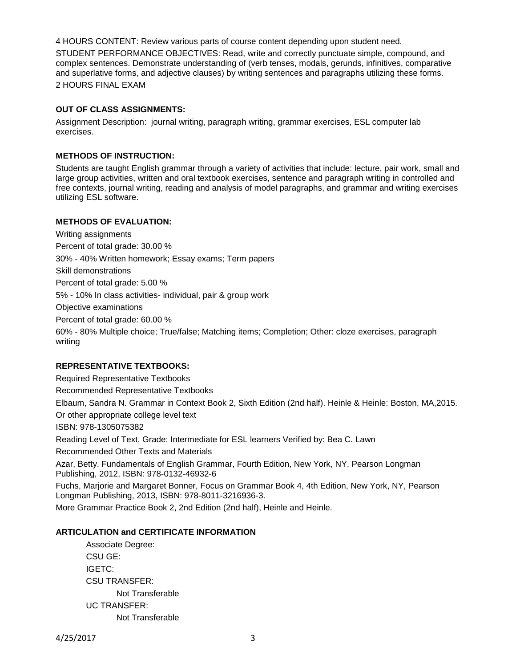4 HOURS CONTENT: Review various parts of course content depending upon student need.

STUDENT PERFORMANCE OBJECTIVES: Read, write and correctly punctuate simple, compound, and complex sentences. Demonstrate understanding of (verb tenses, modals, gerunds, infinitives, comparative and superlative forms, and adjective clauses) by writing sentences and paragraphs utilizing these forms. 2 HOURS FINAL EXAM

## **OUT OF CLASS ASSIGNMENTS:**

Assignment Description: journal writing, paragraph writing, grammar exercises, ESL computer lab exercises.

## **METHODS OF INSTRUCTION:**

Students are taught English grammar through a variety of activities that include: lecture, pair work, small and large group activities, written and oral textbook exercises, sentence and paragraph writing in controlled and free contexts, journal writing, reading and analysis of model paragraphs, and grammar and writing exercises utilizing ESL software.

## **METHODS OF EVALUATION:**

Writing assignments Percent of total grade: 30.00 % 30% - 40% Written homework; Essay exams; Term papers Skill demonstrations Percent of total grade: 5.00 % 5% - 10% In class activities- individual, pair & group work Objective examinations Percent of total grade: 60.00 % 60% - 80% Multiple choice; True/false; Matching items; Completion; Other: cloze exercises, paragraph writing

# **REPRESENTATIVE TEXTBOOKS:**

Required Representative Textbooks Recommended Representative Textbooks Elbaum, Sandra N. Grammar in Context Book 2, Sixth Edition (2nd half). Heinle & Heinle: Boston, MA,2015. Or other appropriate college level text ISBN: 978-1305075382 Reading Level of Text, Grade: Intermediate for ESL learners Verified by: Bea C. Lawn Recommended Other Texts and Materials Azar, Betty. Fundamentals of English Grammar, Fourth Edition, New York, NY, Pearson Longman Publishing, 2012, ISBN: 978-0132-46932-6 Fuchs, Marjorie and Margaret Bonner, Focus on Grammar Book 4, 4th Edition, New York, NY, Pearson Longman Publishing, 2013, ISBN: 978-8011-3216936-3.

More Grammar Practice Book 2, 2nd Edition (2nd half), Heinle and Heinle.

#### **ARTICULATION and CERTIFICATE INFORMATION**

Associate Degree: CSU GE: IGETC: CSU TRANSFER: Not Transferable UC TRANSFER: Not Transferable